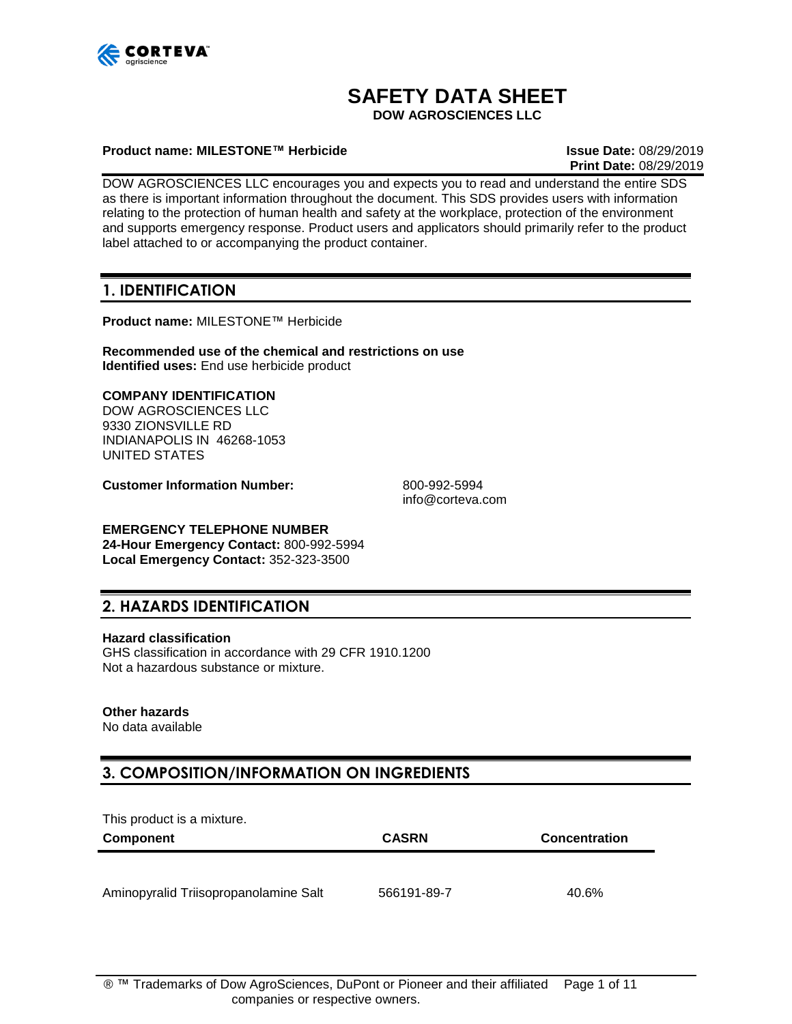

# **SAFETY DATA SHEET**

**DOW AGROSCIENCES LLC**

#### **Product name: MILESTONE™ Herbicide Issue Date:** 08/29/2019

**Print Date:** 08/29/2019

DOW AGROSCIENCES LLC encourages you and expects you to read and understand the entire SDS as there is important information throughout the document. This SDS provides users with information relating to the protection of human health and safety at the workplace, protection of the environment and supports emergency response. Product users and applicators should primarily refer to the product label attached to or accompanying the product container.

### **1. IDENTIFICATION**

**Product name:** MILESTONE™ Herbicide

**Recommended use of the chemical and restrictions on use Identified uses:** End use herbicide product

#### **COMPANY IDENTIFICATION**

DOW AGROSCIENCES LLC 9330 ZIONSVILLE RD INDIANAPOLIS IN 46268-1053 UNITED STATES

**Customer Information Number:** 800-992-5994

info@corteva.com

#### **EMERGENCY TELEPHONE NUMBER**

**24-Hour Emergency Contact:** 800-992-5994 **Local Emergency Contact:** 352-323-3500

### **2. HAZARDS IDENTIFICATION**

#### **Hazard classification**

GHS classification in accordance with 29 CFR 1910.1200 Not a hazardous substance or mixture.

#### **Other hazards**

No data available

## **3. COMPOSITION/INFORMATION ON INGREDIENTS**

This product is a mixture.

| <b>Component</b>                      | <b>CASRN</b> | <b>Concentration</b> |
|---------------------------------------|--------------|----------------------|
|                                       |              |                      |
| Aminopyralid Triisopropanolamine Salt | 566191-89-7  | 40.6%                |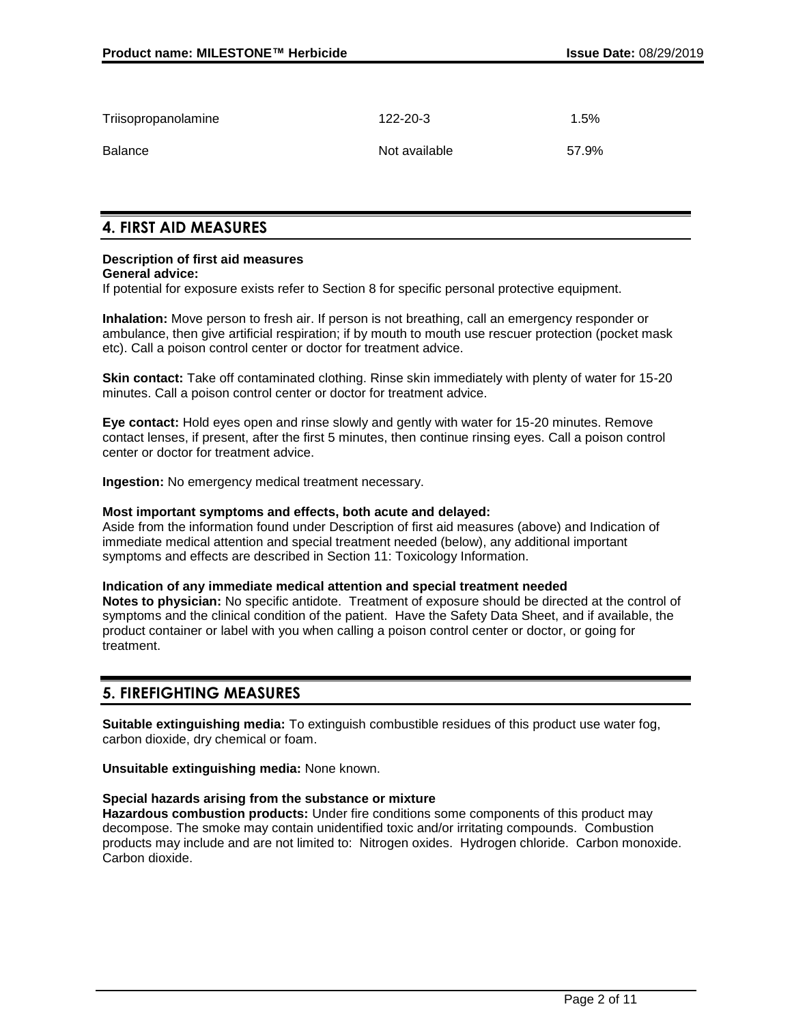| Triisopropanolamine | 122-20-3      | $1.5\%$ |
|---------------------|---------------|---------|
| Balance             | Not available | 57.9%   |

### **4. FIRST AID MEASURES**

## **Description of first aid measures**

**General advice:**

If potential for exposure exists refer to Section 8 for specific personal protective equipment.

**Inhalation:** Move person to fresh air. If person is not breathing, call an emergency responder or ambulance, then give artificial respiration; if by mouth to mouth use rescuer protection (pocket mask etc). Call a poison control center or doctor for treatment advice.

**Skin contact:** Take off contaminated clothing. Rinse skin immediately with plenty of water for 15-20 minutes. Call a poison control center or doctor for treatment advice.

**Eye contact:** Hold eyes open and rinse slowly and gently with water for 15-20 minutes. Remove contact lenses, if present, after the first 5 minutes, then continue rinsing eyes. Call a poison control center or doctor for treatment advice.

**Ingestion:** No emergency medical treatment necessary.

#### **Most important symptoms and effects, both acute and delayed:**

Aside from the information found under Description of first aid measures (above) and Indication of immediate medical attention and special treatment needed (below), any additional important symptoms and effects are described in Section 11: Toxicology Information.

#### **Indication of any immediate medical attention and special treatment needed**

**Notes to physician:** No specific antidote. Treatment of exposure should be directed at the control of symptoms and the clinical condition of the patient. Have the Safety Data Sheet, and if available, the product container or label with you when calling a poison control center or doctor, or going for treatment.

### **5. FIREFIGHTING MEASURES**

**Suitable extinguishing media:** To extinguish combustible residues of this product use water fog, carbon dioxide, dry chemical or foam.

**Unsuitable extinguishing media:** None known.

#### **Special hazards arising from the substance or mixture**

**Hazardous combustion products:** Under fire conditions some components of this product may decompose. The smoke may contain unidentified toxic and/or irritating compounds. Combustion products may include and are not limited to: Nitrogen oxides. Hydrogen chloride. Carbon monoxide. Carbon dioxide.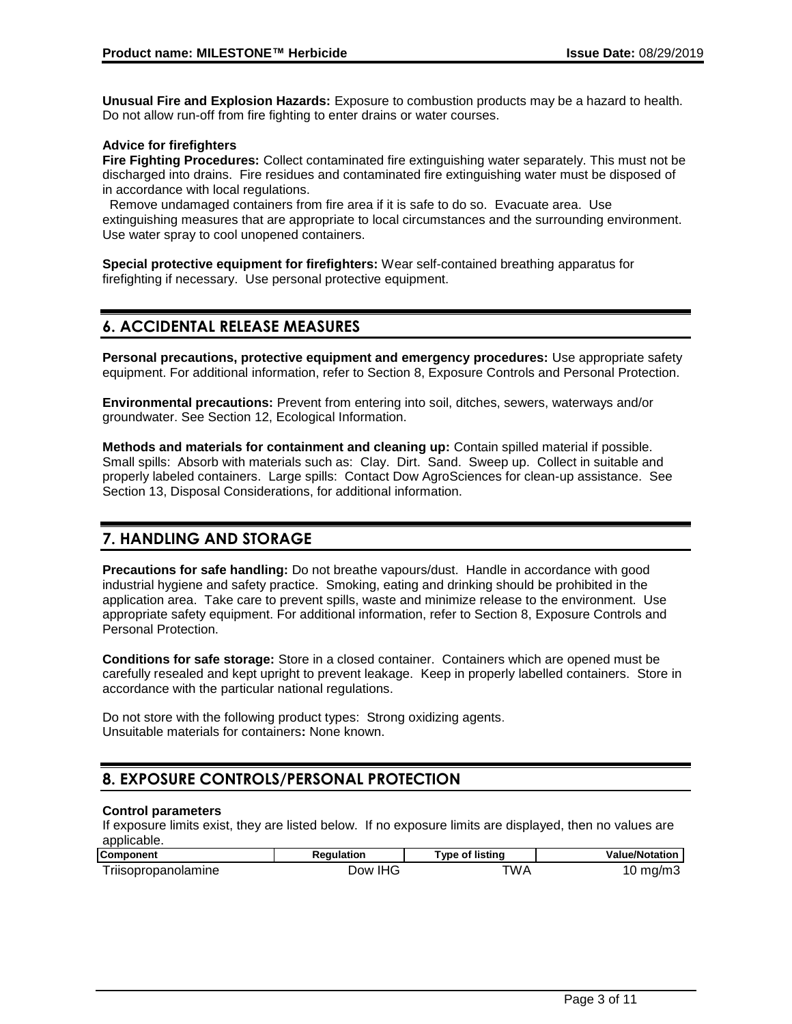**Unusual Fire and Explosion Hazards:** Exposure to combustion products may be a hazard to health. Do not allow run-off from fire fighting to enter drains or water courses.

#### **Advice for firefighters**

**Fire Fighting Procedures:** Collect contaminated fire extinguishing water separately. This must not be discharged into drains. Fire residues and contaminated fire extinguishing water must be disposed of in accordance with local regulations.

 Remove undamaged containers from fire area if it is safe to do so. Evacuate area. Use extinguishing measures that are appropriate to local circumstances and the surrounding environment. Use water spray to cool unopened containers.

**Special protective equipment for firefighters:** Wear self-contained breathing apparatus for firefighting if necessary. Use personal protective equipment.

## **6. ACCIDENTAL RELEASE MEASURES**

**Personal precautions, protective equipment and emergency procedures:** Use appropriate safety equipment. For additional information, refer to Section 8, Exposure Controls and Personal Protection.

**Environmental precautions:** Prevent from entering into soil, ditches, sewers, waterways and/or groundwater. See Section 12, Ecological Information.

**Methods and materials for containment and cleaning up:** Contain spilled material if possible. Small spills: Absorb with materials such as: Clay. Dirt. Sand. Sweep up. Collect in suitable and properly labeled containers. Large spills: Contact Dow AgroSciences for clean-up assistance. See Section 13, Disposal Considerations, for additional information.

## **7. HANDLING AND STORAGE**

**Precautions for safe handling:** Do not breathe vapours/dust. Handle in accordance with good industrial hygiene and safety practice. Smoking, eating and drinking should be prohibited in the application area. Take care to prevent spills, waste and minimize release to the environment. Use appropriate safety equipment. For additional information, refer to Section 8, Exposure Controls and Personal Protection.

**Conditions for safe storage:** Store in a closed container. Containers which are opened must be carefully resealed and kept upright to prevent leakage. Keep in properly labelled containers. Store in accordance with the particular national regulations.

Do not store with the following product types: Strong oxidizing agents. Unsuitable materials for containers**:** None known.

## **8. EXPOSURE CONTROLS/PERSONAL PROTECTION**

#### **Control parameters**

If exposure limits exist, they are listed below. If no exposure limits are displayed, then no values are applicable.

| <b>Component</b>           | <b>Regulation</b> | Type of listing | <b>Value/Notation</b> |
|----------------------------|-------------------|-----------------|-----------------------|
| <b>Triisopropanolamine</b> | Dow IHG           | TWA             | $10 \text{ mg/m}$     |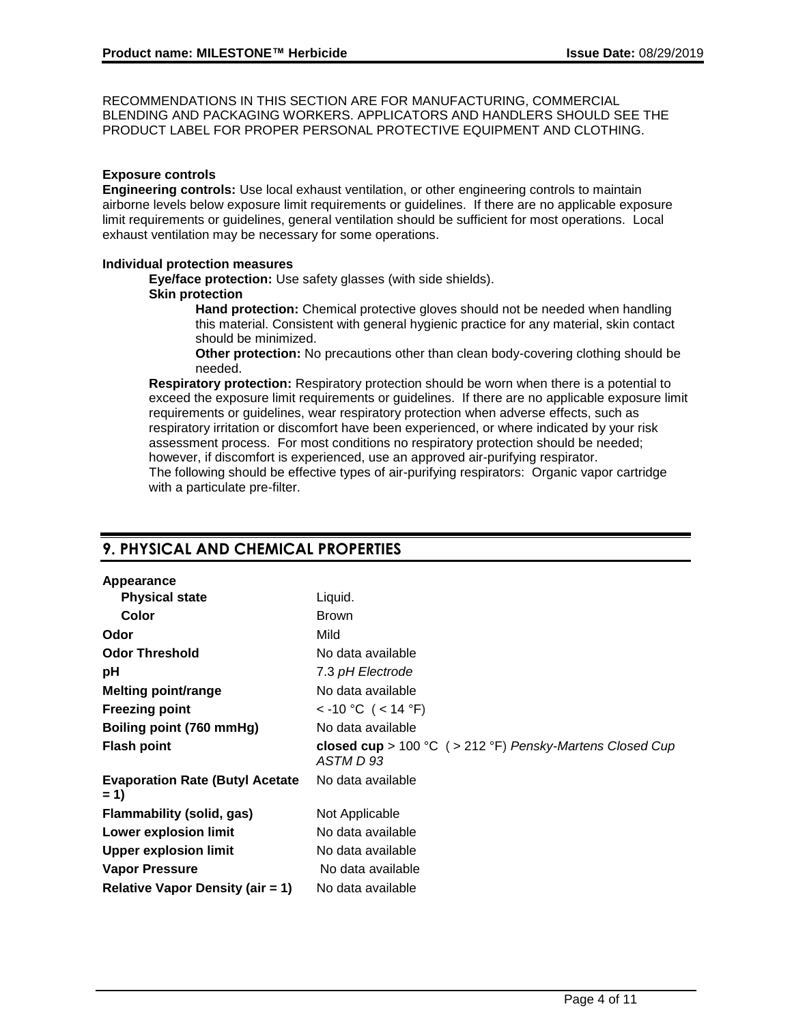RECOMMENDATIONS IN THIS SECTION ARE FOR MANUFACTURING, COMMERCIAL BLENDING AND PACKAGING WORKERS. APPLICATORS AND HANDLERS SHOULD SEE THE PRODUCT LABEL FOR PROPER PERSONAL PROTECTIVE EQUIPMENT AND CLOTHING.

#### **Exposure controls**

**Engineering controls:** Use local exhaust ventilation, or other engineering controls to maintain airborne levels below exposure limit requirements or guidelines. If there are no applicable exposure limit requirements or guidelines, general ventilation should be sufficient for most operations. Local exhaust ventilation may be necessary for some operations.

#### **Individual protection measures**

**Eye/face protection:** Use safety glasses (with side shields).

#### **Skin protection**

**Hand protection:** Chemical protective gloves should not be needed when handling this material. Consistent with general hygienic practice for any material, skin contact should be minimized.

**Other protection:** No precautions other than clean body-covering clothing should be needed.

**Respiratory protection:** Respiratory protection should be worn when there is a potential to exceed the exposure limit requirements or guidelines. If there are no applicable exposure limit requirements or guidelines, wear respiratory protection when adverse effects, such as respiratory irritation or discomfort have been experienced, or where indicated by your risk assessment process. For most conditions no respiratory protection should be needed; however, if discomfort is experienced, use an approved air-purifying respirator. The following should be effective types of air-purifying respirators: Organic vapor cartridge with a particulate pre-filter.

## **9. PHYSICAL AND CHEMICAL PROPERTIES**

#### **Appearance**

| Liquid.                                                                |
|------------------------------------------------------------------------|
| <b>Brown</b>                                                           |
| Mild                                                                   |
| No data available                                                      |
| 7.3 pH Electrode                                                       |
| No data available                                                      |
| < -10 °C ( < 14 °F)                                                    |
| No data available                                                      |
| closed cup > 100 °C ( > 212 °F) Pensky-Martens Closed Cup<br>ASTM D 93 |
| No data available                                                      |
| Not Applicable                                                         |
| No data available                                                      |
| No data available                                                      |
| No data available                                                      |
| No data available                                                      |
|                                                                        |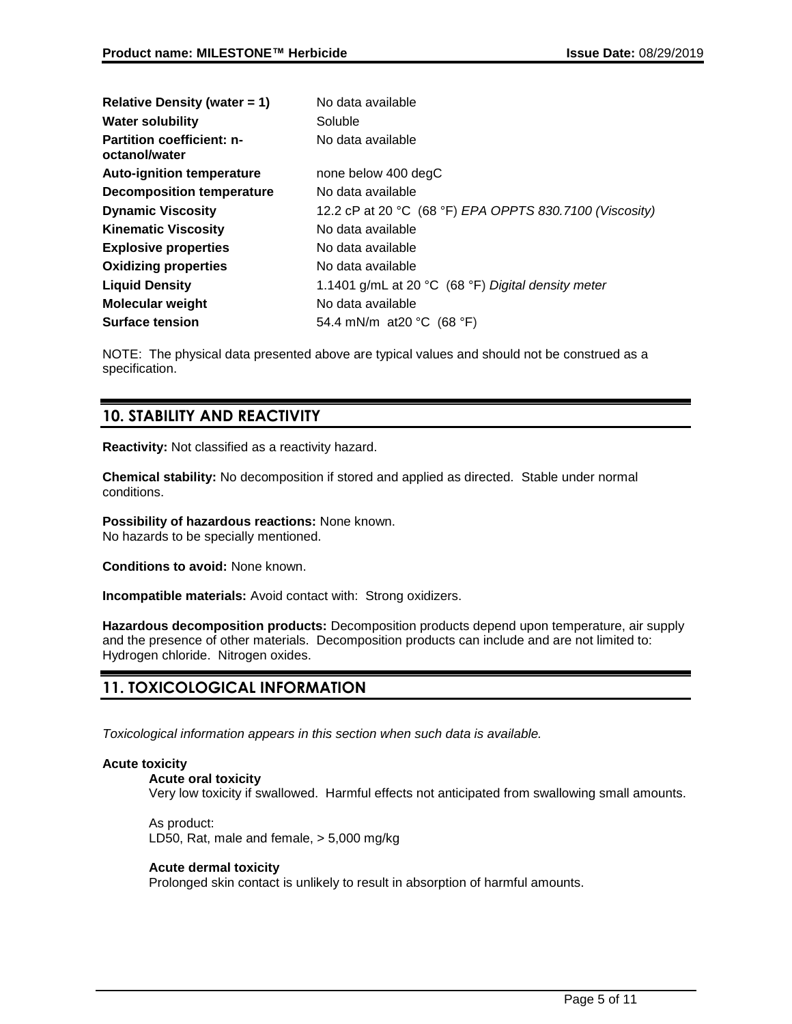| Relative Density (water $= 1$ )                   | No data available                                                      |
|---------------------------------------------------|------------------------------------------------------------------------|
| <b>Water solubility</b>                           | Soluble                                                                |
| <b>Partition coefficient: n-</b><br>octanol/water | No data available                                                      |
| <b>Auto-ignition temperature</b>                  | none below 400 degC                                                    |
| <b>Decomposition temperature</b>                  | No data available                                                      |
| <b>Dynamic Viscosity</b>                          | 12.2 cP at 20 °C (68 °F) EPA OPPTS 830.7100 (Viscosity)                |
| <b>Kinematic Viscosity</b>                        | No data available                                                      |
| <b>Explosive properties</b>                       | No data available                                                      |
| <b>Oxidizing properties</b>                       | No data available                                                      |
| <b>Liquid Density</b>                             | 1.1401 g/mL at 20 $^{\circ}$ C (68 $^{\circ}$ F) Digital density meter |
| <b>Molecular weight</b>                           | No data available                                                      |
| <b>Surface tension</b>                            | 54.4 mN/m at 20 °C $(68 \text{ °F})$                                   |

NOTE: The physical data presented above are typical values and should not be construed as a specification.

## **10. STABILITY AND REACTIVITY**

**Reactivity:** Not classified as a reactivity hazard.

**Chemical stability:** No decomposition if stored and applied as directed. Stable under normal conditions.

**Possibility of hazardous reactions:** None known. No hazards to be specially mentioned.

**Conditions to avoid:** None known.

**Incompatible materials:** Avoid contact with: Strong oxidizers.

**Hazardous decomposition products:** Decomposition products depend upon temperature, air supply and the presence of other materials. Decomposition products can include and are not limited to: Hydrogen chloride. Nitrogen oxides.

## **11. TOXICOLOGICAL INFORMATION**

*Toxicological information appears in this section when such data is available.*

#### **Acute toxicity**

#### **Acute oral toxicity**

Very low toxicity if swallowed. Harmful effects not anticipated from swallowing small amounts.

As product: LD50, Rat, male and female, > 5,000 mg/kg

#### **Acute dermal toxicity**

Prolonged skin contact is unlikely to result in absorption of harmful amounts.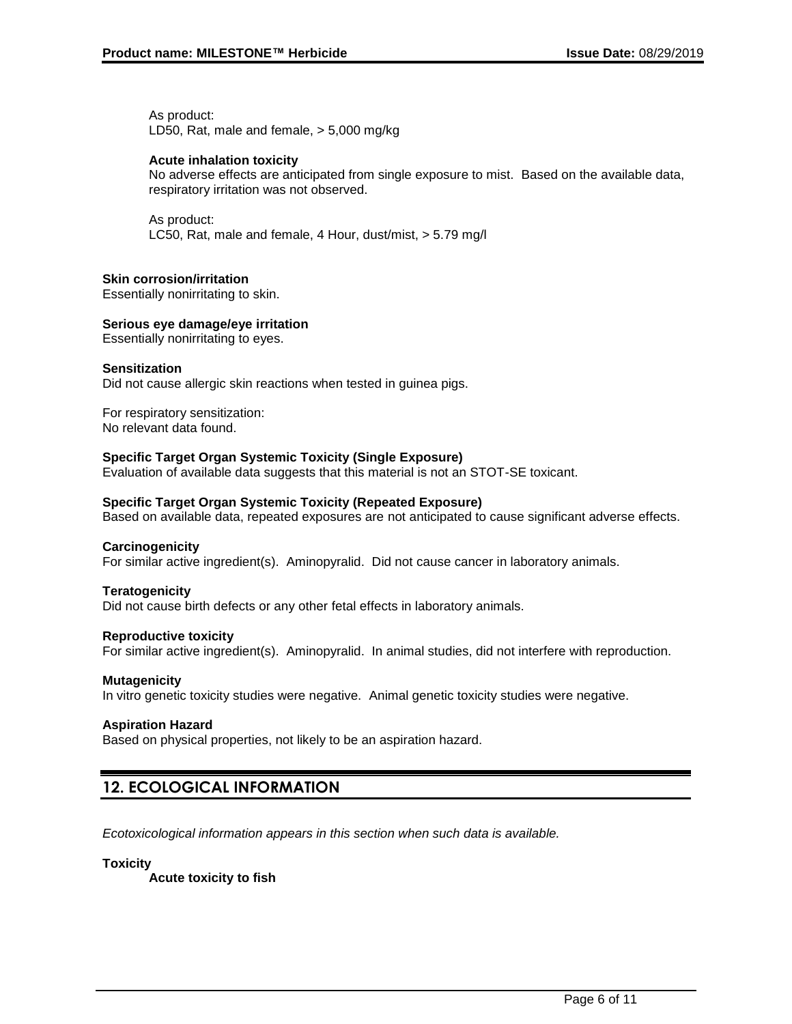As product: LD50, Rat, male and female, > 5,000 mg/kg

#### **Acute inhalation toxicity**

No adverse effects are anticipated from single exposure to mist. Based on the available data, respiratory irritation was not observed.

As product: LC50, Rat, male and female, 4 Hour, dust/mist, > 5.79 mg/l

#### **Skin corrosion/irritation**

Essentially nonirritating to skin.

#### **Serious eye damage/eye irritation**

Essentially nonirritating to eyes.

#### **Sensitization**

Did not cause allergic skin reactions when tested in guinea pigs.

For respiratory sensitization: No relevant data found.

#### **Specific Target Organ Systemic Toxicity (Single Exposure)**

Evaluation of available data suggests that this material is not an STOT-SE toxicant.

#### **Specific Target Organ Systemic Toxicity (Repeated Exposure)**

Based on available data, repeated exposures are not anticipated to cause significant adverse effects.

#### **Carcinogenicity**

For similar active ingredient(s). Aminopyralid. Did not cause cancer in laboratory animals.

#### **Teratogenicity**

Did not cause birth defects or any other fetal effects in laboratory animals.

#### **Reproductive toxicity**

For similar active ingredient(s). Aminopyralid. In animal studies, did not interfere with reproduction.

#### **Mutagenicity**

In vitro genetic toxicity studies were negative. Animal genetic toxicity studies were negative.

#### **Aspiration Hazard**

Based on physical properties, not likely to be an aspiration hazard.

## **12. ECOLOGICAL INFORMATION**

*Ecotoxicological information appears in this section when such data is available.*

#### **Toxicity**

**Acute toxicity to fish**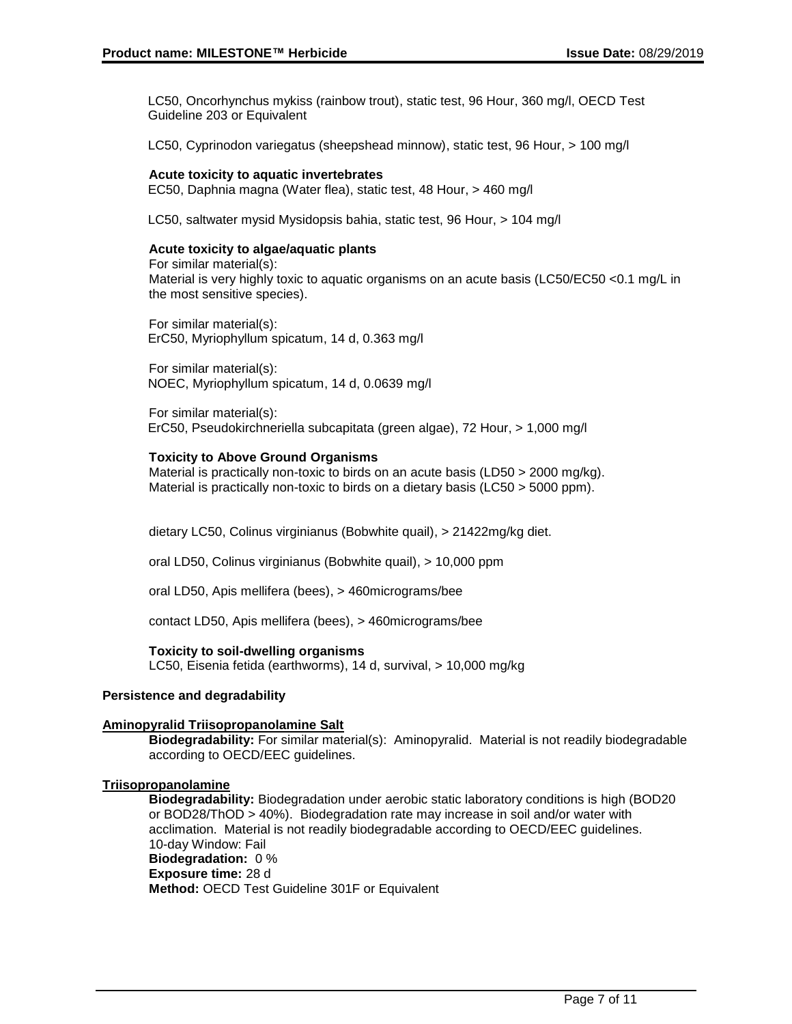LC50, Oncorhynchus mykiss (rainbow trout), static test, 96 Hour, 360 mg/l, OECD Test Guideline 203 or Equivalent

LC50, Cyprinodon variegatus (sheepshead minnow), static test, 96 Hour, > 100 mg/l

#### **Acute toxicity to aquatic invertebrates**

EC50, Daphnia magna (Water flea), static test, 48 Hour, > 460 mg/l

LC50, saltwater mysid Mysidopsis bahia, static test, 96 Hour, > 104 mg/l

#### **Acute toxicity to algae/aquatic plants**

For similar material(s): Material is very highly toxic to aquatic organisms on an acute basis (LC50/EC50 <0.1 mg/L in the most sensitive species).

For similar material(s): ErC50, Myriophyllum spicatum, 14 d, 0.363 mg/l

For similar material(s): NOEC, Myriophyllum spicatum, 14 d, 0.0639 mg/l

For similar material(s): ErC50, Pseudokirchneriella subcapitata (green algae), 72 Hour, > 1,000 mg/l

#### **Toxicity to Above Ground Organisms**

Material is practically non-toxic to birds on an acute basis (LD50 > 2000 mg/kg). Material is practically non-toxic to birds on a dietary basis (LC50 > 5000 ppm).

dietary LC50, Colinus virginianus (Bobwhite quail), > 21422mg/kg diet.

oral LD50, Colinus virginianus (Bobwhite quail), > 10,000 ppm

oral LD50, Apis mellifera (bees), > 460micrograms/bee

contact LD50, Apis mellifera (bees), > 460micrograms/bee

#### **Toxicity to soil-dwelling organisms**

LC50, Eisenia fetida (earthworms), 14 d, survival, > 10,000 mg/kg

#### **Persistence and degradability**

#### **Aminopyralid Triisopropanolamine Salt**

**Biodegradability:** For similar material(s): Aminopyralid. Material is not readily biodegradable according to OECD/EEC guidelines.

#### **Triisopropanolamine**

**Biodegradability:** Biodegradation under aerobic static laboratory conditions is high (BOD20 or BOD28/ThOD > 40%). Biodegradation rate may increase in soil and/or water with acclimation. Material is not readily biodegradable according to OECD/EEC guidelines. 10-day Window: Fail **Biodegradation:** 0 % **Exposure time:** 28 d **Method:** OECD Test Guideline 301F or Equivalent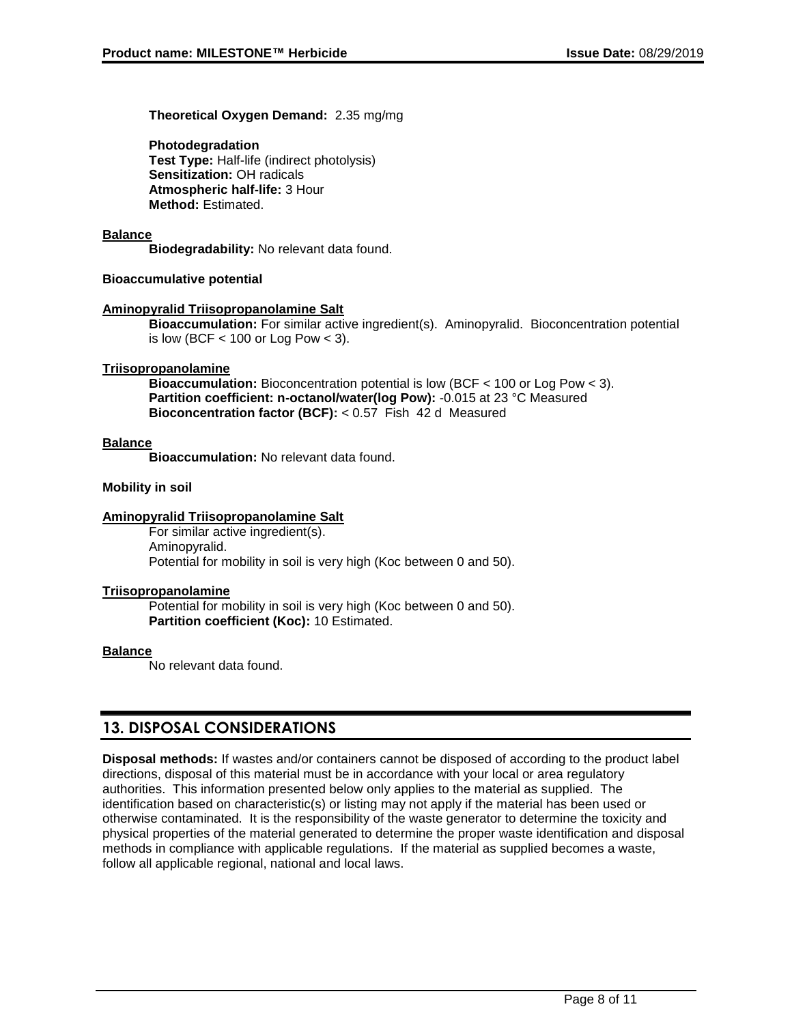**Theoretical Oxygen Demand:** 2.35 mg/mg

**Photodegradation Test Type:** Half-life (indirect photolysis) **Sensitization:** OH radicals **Atmospheric half-life:** 3 Hour **Method:** Estimated.

#### **Balance**

**Biodegradability:** No relevant data found.

#### **Bioaccumulative potential**

#### **Aminopyralid Triisopropanolamine Salt**

**Bioaccumulation:** For similar active ingredient(s). Aminopyralid. Bioconcentration potential is low (BCF  $<$  100 or Log Pow  $<$  3).

#### **Triisopropanolamine**

**Bioaccumulation:** Bioconcentration potential is low (BCF < 100 or Log Pow < 3). **Partition coefficient: n-octanol/water(log Pow):** -0.015 at 23 °C Measured **Bioconcentration factor (BCF):** < 0.57 Fish 42 d Measured

#### **Balance**

**Bioaccumulation:** No relevant data found.

#### **Mobility in soil**

#### **Aminopyralid Triisopropanolamine Salt**

For similar active ingredient(s). Aminopyralid. Potential for mobility in soil is very high (Koc between 0 and 50).

#### **Triisopropanolamine**

Potential for mobility in soil is very high (Koc between 0 and 50). **Partition coefficient (Koc):** 10 Estimated.

#### **Balance**

No relevant data found.

### **13. DISPOSAL CONSIDERATIONS**

**Disposal methods:** If wastes and/or containers cannot be disposed of according to the product label directions, disposal of this material must be in accordance with your local or area regulatory authorities. This information presented below only applies to the material as supplied. The identification based on characteristic(s) or listing may not apply if the material has been used or otherwise contaminated. It is the responsibility of the waste generator to determine the toxicity and physical properties of the material generated to determine the proper waste identification and disposal methods in compliance with applicable regulations. If the material as supplied becomes a waste, follow all applicable regional, national and local laws.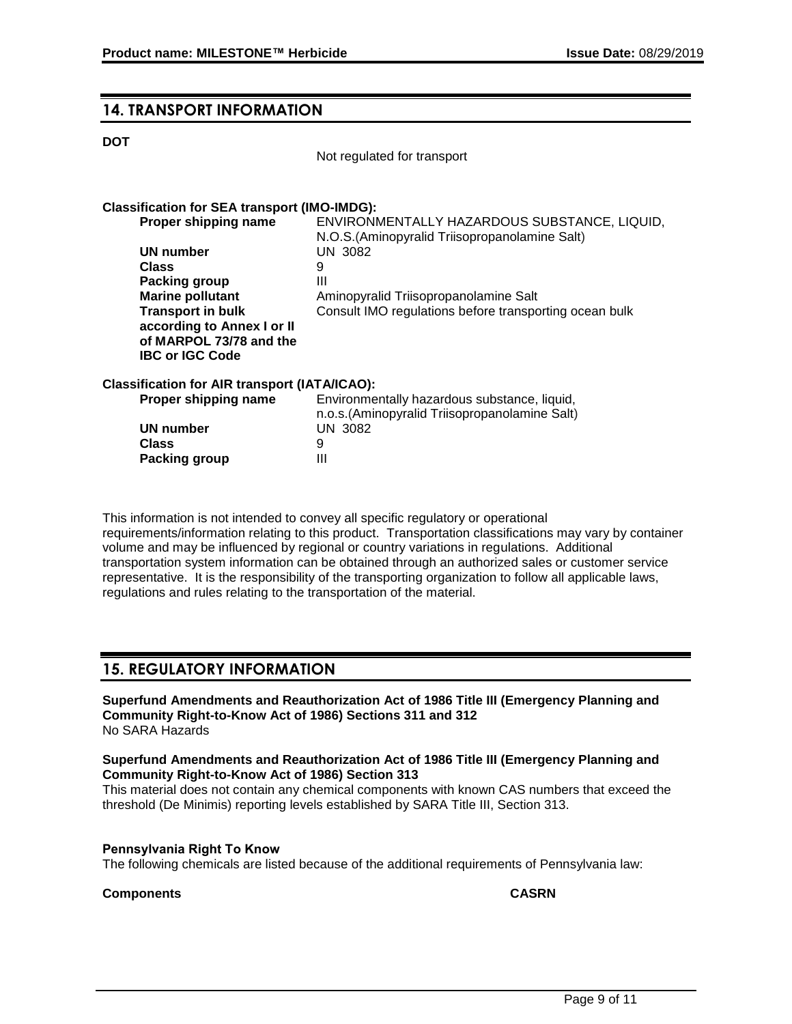### **14. TRANSPORT INFORMATION**

#### **DOT**

Not regulated for transport

#### **Classification for SEA transport (IMO-IMDG):**

| Proper shipping name       | ENVIRONMENTALLY HAZARDOUS SUBSTANCE, LIQUID,           |
|----------------------------|--------------------------------------------------------|
|                            | N.O.S. (Aminopyralid Triisopropanolamine Salt)         |
| UN number                  | UN 3082                                                |
| <b>Class</b>               | 9                                                      |
| Packing group              | Ш                                                      |
| <b>Marine pollutant</b>    | Aminopyralid Triisopropanolamine Salt                  |
| <b>Transport in bulk</b>   | Consult IMO regulations before transporting ocean bulk |
| according to Annex I or II |                                                        |
| of MARPOL 73/78 and the    |                                                        |
| <b>IBC or IGC Code</b>     |                                                        |
|                            |                                                        |

#### **Classification for AIR transport (IATA/ICAO):**

| Proper shipping name | Environmentally hazardous substance, liquid,   |
|----------------------|------------------------------------------------|
|                      | n.o.s. (Aminopyralid Triisopropanolamine Salt) |
| UN number            | UN 3082                                        |
| Class                |                                                |
| Packing group        | Ш                                              |

This information is not intended to convey all specific regulatory or operational requirements/information relating to this product. Transportation classifications may vary by container volume and may be influenced by regional or country variations in regulations. Additional transportation system information can be obtained through an authorized sales or customer service representative. It is the responsibility of the transporting organization to follow all applicable laws, regulations and rules relating to the transportation of the material.

### **15. REGULATORY INFORMATION**

**Superfund Amendments and Reauthorization Act of 1986 Title III (Emergency Planning and Community Right-to-Know Act of 1986) Sections 311 and 312** No SARA Hazards

#### **Superfund Amendments and Reauthorization Act of 1986 Title III (Emergency Planning and Community Right-to-Know Act of 1986) Section 313**

This material does not contain any chemical components with known CAS numbers that exceed the threshold (De Minimis) reporting levels established by SARA Title III, Section 313.

#### **Pennsylvania Right To Know**

The following chemicals are listed because of the additional requirements of Pennsylvania law:

#### **Components CASRN**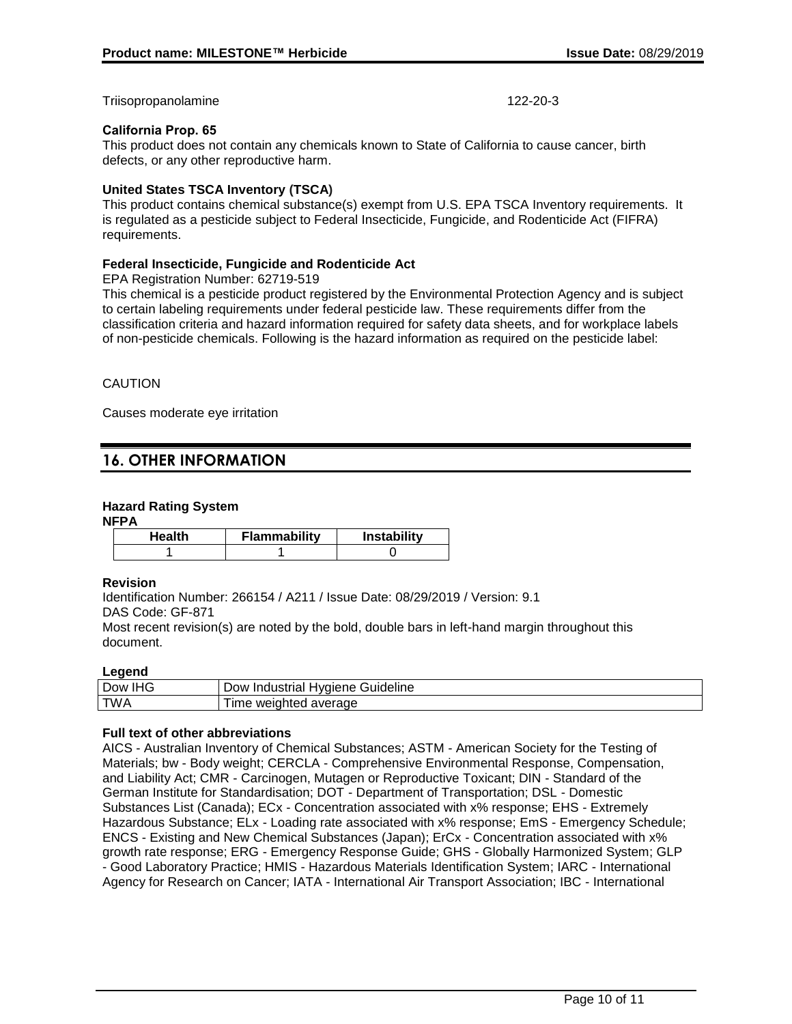Triisopropanolamine 122-20-3

#### **California Prop. 65**

This product does not contain any chemicals known to State of California to cause cancer, birth defects, or any other reproductive harm.

#### **United States TSCA Inventory (TSCA)**

This product contains chemical substance(s) exempt from U.S. EPA TSCA Inventory requirements. It is regulated as a pesticide subject to Federal Insecticide, Fungicide, and Rodenticide Act (FIFRA) requirements.

#### **Federal Insecticide, Fungicide and Rodenticide Act**

EPA Registration Number: 62719-519

This chemical is a pesticide product registered by the Environmental Protection Agency and is subject to certain labeling requirements under federal pesticide law. These requirements differ from the classification criteria and hazard information required for safety data sheets, and for workplace labels of non-pesticide chemicals. Following is the hazard information as required on the pesticide label:

#### CAUTION

Causes moderate eye irritation

## **16. OTHER INFORMATION**

#### **Hazard Rating System**

#### **NFPA**

| Health | <b>Flammability</b> | <b>Instability</b> |
|--------|---------------------|--------------------|
|        |                     |                    |

#### **Revision**

Identification Number: 266154 / A211 / Issue Date: 08/29/2019 / Version: 9.1 DAS Code: GF-871

Most recent revision(s) are noted by the bold, double bars in left-hand margin throughout this document.

#### **Legend**

| பப்<br>$\sim$ $\sim$<br>⊃ow<br>טרוי. | `uideline<br>ustrial<br>alene<br>10 <sup>o</sup><br>ിവധ<br>-- |
|--------------------------------------|---------------------------------------------------------------|
| <b>TWA</b>                           | - - -<br>average<br>MAPI<br>.<br>.<br>.<br>. .<br>.           |

#### **Full text of other abbreviations**

AICS - Australian Inventory of Chemical Substances; ASTM - American Society for the Testing of Materials; bw - Body weight; CERCLA - Comprehensive Environmental Response, Compensation, and Liability Act; CMR - Carcinogen, Mutagen or Reproductive Toxicant; DIN - Standard of the German Institute for Standardisation; DOT - Department of Transportation; DSL - Domestic Substances List (Canada); ECx - Concentration associated with x% response; EHS - Extremely Hazardous Substance; ELx - Loading rate associated with x% response; EmS - Emergency Schedule; ENCS - Existing and New Chemical Substances (Japan); ErCx - Concentration associated with x% growth rate response; ERG - Emergency Response Guide; GHS - Globally Harmonized System; GLP - Good Laboratory Practice; HMIS - Hazardous Materials Identification System; IARC - International Agency for Research on Cancer; IATA - International Air Transport Association; IBC - International